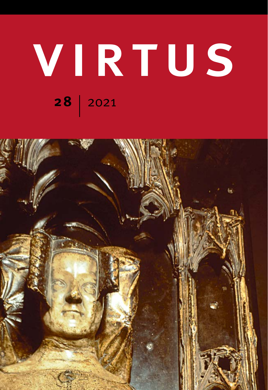## virtus **28** 2021

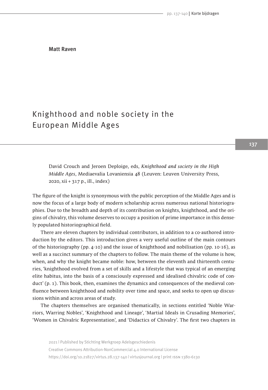Matt Raven

## Knighthood and noble society in the European Middle Ages

David Crouch and Jeroen Deploige, eds, *Knighthood and society in the High Middle Ages*, Mediaevalia Lovaniensia 48 (Leuven: Leuven University Press, 2020, xii + 317 p., ill., index)

The figure of the knight is synonymous with the public perception of the Middle Ages and is now the focus of a large body of modern scholarship across numerous national historiographies. Due to the breadth and depth of its contribution on knights, knighthood, and the origins of chivalry, this volume deserves to occupy a position of prime importance in this densely populated historiographical field.

There are eleven chapters by individual contributors, in addition to a co-authored introduction by the editors. This introduction gives a very useful outline of the main contours of the historiography (pp. 4-10) and the issue of knighthood and nobilisation (pp. 10-16), as well as a succinct summary of the chapters to follow. The main theme of the volume is how, when, and why the knight became noble: how, between the eleventh and thirteenth centuries, 'knighthood evolved from a set of skills and a lifestyle that was typical of an emerging elite habitus, into the basis of a consciously expressed and idealised chivalric code of conduct' (p. 1). This book, then, examines the dynamics and consequences of the medieval confluence between knighthood and nobility over time and space, and seeks to open up discussions within and across areas of study.

The chapters themselves are organised thematically, in sections entitled 'Noble Warriors, Warring Nobles', 'Knighthood and Lineage', 'Martial Ideals in Crusading Memories', 'Women in Chivalric Representation', and 'Didactics of Chivalry'. The first two chapters in

2021 | Published by Stichting Werkgroep Adelsgeschiedenis Creative Commons Attribution-NonCommercial 4.0 International License https://doi.org/10.21827/virtus.28.137-140 | virtusjournal.org | print issn 1380-6130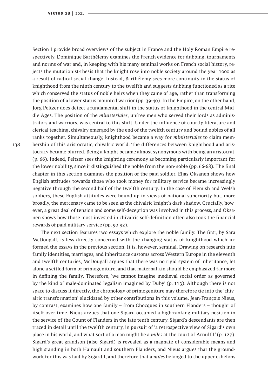Section I provide broad overviews of the subject in France and the Holy Roman Empire respectively. Dominique Barthélemy examines the French evidence for dubbing, tournaments and norms of war and, in keeping with his many seminal works on French social history, rejects the mutationist-thesis that the knight rose into noble society around the year 1000 as a result of radical social change. Instead, Barthélemy sees more continuity in the status of knighthood from the ninth century to the twelfth and suggests dubbing functioned as a rite which conserved the status of noble heirs when they came of age, rather than transforming the position of a lower status mounted warrior (pp. 39-40). In the Empire, on the other hand, Jörg Peltzer does detect a fundamental shift in the status of knighthood in the central Middle Ages. The position of the *ministeriales*, unfree men who served their lords as administrators and warriors, was central to this shift. Under the influence of courtly literature and clerical teaching, chivalry emerged by the end of the twelfth century and bound nobles of all ranks together. Simultaneously, knighthood became a way for *ministeriales* to claim membership of this aristocratic, chivalric world: 'the differences between knighthood and aristocracy became blurred. Being a knight became almost synonymous with being an aristocrat' (p. 66). Indeed, Peltzer sees the knighting ceremony as becoming particularly important for the lower nobility, since it distinguished the noble from the non-noble (pp. 66-68). The final chapter in this section examines the position of the paid soldier. Eljas Oksanen shows how English attitudes towards those who took money for military service became increasingly negative through the second half of the twelfth century. In the case of Flemish and Welsh soldiers, these English attitudes were bound up in views of national superiority but, more broadly, the mercenary came to be seen as the chivalric knight's dark shadow. Crucially, however, a great deal of tension and some self-deception was involved in this process, and Oksanen shows how those most invested in chivalric self-definition often also took the financial rewards of paid military service (pp. 90-92).

The next section features two essays which explore the noble family. The first, by Sara McDougall, is less directly concerned with the changing status of knighthood which informed the essays in the previous section. It is, however, seminal. Drawing on research into family identities, marriages, and inheritance customs across Western Europe in the eleventh and twelfth centuries, McDougall argues that there was no rigid system of inheritance, let alone a settled form of primogeniture, and that maternal kin should be emphasized far more in defining the family. Therefore, 'we cannot imagine medieval social order as governed by the kind of male-dominated legalism imagined by Duby' (p. 113). Although there is not space to discuss it directly, the chronology of primogeniture may therefore tie into the 'chivalric transformation' elucidated by other contributions in this volume. Jean-François Nieus, by contrast, examines how one family – from Chocques in southern Flanders – thought of itself over time. Nieus argues that one Sigard occupied a high-ranking military position in the service of the Count of Flanders in the late tenth century. Sigard's descendants are then traced in detail until the twelfth century, in pursuit of 'a retrospective view of Sigard's own place in his world, and what sort of a man might be a *miles* at the court of Arnulf I' (p. 127). Sigard's great-grandson (also Sigard) is revealed as a magnate of considerable means and high standing in both Hainault and southern Flanders, and Nieus argues that the groundwork for this was laid by Sigard I, and therefore that a *miles* belonged to the upper echelons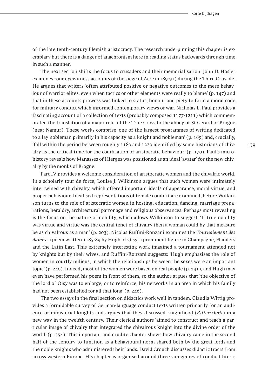of the late tenth-century Flemish aristocracy. The research underpinning this chapter is exemplary but there is a danger of anachronism here in reading status backwards through time in such a manner.

The next section shifts the focus to crusaders and their memorialisation. John D. Hosler examines four eyewitness accounts of the siege of Acre (1189-91) during the Third Crusade. He argues that writers 'often attributed positive or negative outcomes to the mere behaviour of warrior elites, even when tactics or other elements were really to blame' (p. 147) and that in these accounts prowess was linked to status, honour and piety to form a moral code for military conduct which informed contemporary views of war. Nicholas L. Paul provides a fascinating account of a collection of texts (probably composed 1177-1211) which commemorated the translation of a major relic of the True Cross to the abbey of St Gerard of Brogne (near Namur). These works comprise 'one of the largest programmes of writing dedicated to a lay nobleman primarily in his capacity as a knight and nobleman' (p. 169) and, crucially, 'fall within the period between roughly 1180 and 1220 identified by some historians of chivalry as the critical time for the codification of aristocratic behaviour' (p. 170). Paul's microhistory reveals how Manasses of Hierges was positioned as an ideal 'avatar' for the new chivalry by the monks of Brogne.

Part IV provides a welcome consideration of aristocratic women and the chivalric world. In a scholarly tour de force, Louise J. Wilkinson argues that such women were intimately intertwined with chivalry, which offered important ideals of appearance, moral virtue, and proper behaviour. Idealised representations of female conduct are examined, before Wilkinson turns to the role of aristocratic women in hosting, education, dancing, marriage preparations, heraldry, architectural patronage and religious observances. Perhaps most revealing is the focus on the nature of nobility, which allows Wilkinson to suggest: 'If true nobility was virtue and virtue was the central tenet of chivalry then a woman could by that measure be as chivalrous as a man' (p. 203). Nicolas Ruffini-Ronzani examines the *Tournoiement des dames*, a poem written 1185-89 by Hugh of Oisy, a prominent figure in Champagne, Flanders and the Latin East. This extremely interesting work imagined a tournament attended not by knights but by their wives, and Ruffini-Ronzani suggests: 'Hugh emphasises the role of women in courtly milieus, in which the relationships between the sexes were an important topic' (p. 240). Indeed, most of the women were based on real people (p. 241), and Hugh may even have performed his poem in front of them, so the author argues that 'the objective of the lord of Oisy was to enlarge, or to reinforce, his networks in an area in which his family had not been established for all that long' (p. 246).

The two essays in the final section on didactics work well in tandem. Claudia Wittig provides a formidable survey of German-language conduct texts written primarily for an audience of ministerial knights and argues that they discussed knighthood (*Ritterschaft*) in a new way in the twelfth century. Their clerical authors 'aimed to construct and teach a particular image of chivalry that integrated the chivalrous knight into the divine order of the world' (p. 254). This important and erudite chapter shows how chivalry came in the second half of the century to function as a behavioural norm shared both by the great lords and the noble knights who administered their lands. David Crouch discusses didactic tracts from across western Europe. His chapter is organised around three sub-genres of conduct litera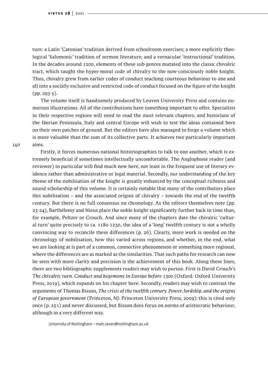ture: a Latin 'Catonian' tradition derived from schoolroom exercises; a more explicitly theological 'Salomonic' tradition of sermon literature; and a vernacular 'instructional' tradition. In the decades around 1200, elements of these sub-genres mutated into the classic chivalric tract, which taught the hyper-moral code of chivalry to the now-consciously noble knight. Thus, chivalry grew from earlier codes of conduct teaching courteous behaviour to one and all into a socially exclusive and restricted code of conduct focused on the figure of the knight (pp. 293-5).

The volume itself is handsomely produced by Leuven University Press and contains numerous illustrations. All of the contributions have something important to offer. Specialists in their respective regions will need to read the most relevant chapters, and historians of the Iberian Peninsula, Italy and central Europe will wish to test the ideas contained here on their own patches of ground. But the editors have also managed to forge a volume which is more valuable than the sum of its collective parts. It achieves two particularly important aims.

Firstly, it forces numerous national historiographies to talk to one another, which is extremely beneficial if sometimes intellectually uncomfortable. The Anglophone reader (and reviewer) in particular will find much new here, not least in the frequent use of literary evidence rather than administrative or legal material. Secondly, our understanding of the key theme of the nobilisation of the knight is greatly enhanced by the conceptual richness and sound scholarship of this volume. It is certainly notable that many of the contributors place this nobilisation – and the associated origins of chivalry – towards the end of the twelfth century. But there is no full consensus on chronology. As the editors themselves note (pp. 23-24), Barthélemy and Nieus place the noble knight significantly further back in time than, for example, Peltzer or Crouch. And since many of the chapters date the chivalric 'cultural turn' quite precisely to ca. 1180-1230, the idea of a 'long' twelfth century is not a wholly convincing way to reconcile these differences (p. 26). Clearly, more work is needed on the chronology of nobilisation, how this varied across regions, and whether, in the end, what we are looking at is part of a common, connective phenomenon or something more regional, where the differences are as marked as the similarities. That such paths for research can now be seen with more clarity and precision is the achievement of this book. Along these lines, there are two bibliographic supplements readers may wish to pursue. First is David Crouch's *The chivalric turn. Conduct and hegemony in Europe before 1300* (Oxford: Oxford University Press, 2019), which expands on his chapter here. Secondly, readers may wish to contrast the arguments of Thomas Bisson, *The crisis of the twelfth century. Power, lordship, and the origins of European government* (Princeton, NJ: Princeton University Press, 2009): this is cited only once (p. 251) and never discussed, but Bisson does focus on norms of aristocratic behaviour, although in a very different way.

University of Nottingham – matt.raven@nottingham.ac.uk